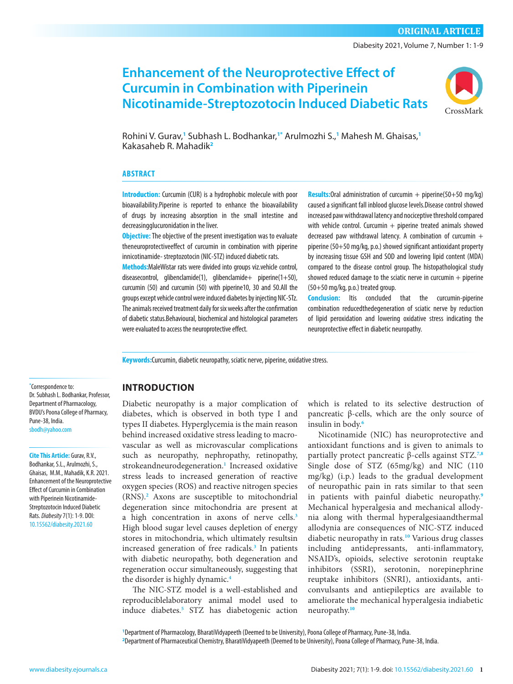Diabesity 2021, Volume 7, Number 1: 1-9

# **Enhancement of the Neuroprotective Effect of Curcumin in Combination with Piperinein Nicotinamide-Streptozotocin Induced Diabetic Rats**



Rohini V. Gurav,**<sup>1</sup>** Subhash L. Bodhankar,**1\*** Arulmozhi S.,**<sup>1</sup>** Mahesh M. Ghaisas,**<sup>1</sup>** Kakasaheb R. Mahadik**2**

#### **ABSTRACT**

**Introduction:** Curcumin (CUR) is a hydrophobic molecule with poor bioavailability.Piperine is reported to enhance the bioavailability of drugs by increasing absorption in the small intestine and decreasingglucuronidation in the liver.

**Objective:** The objective of the present investigation was to evaluate theneuroprotectiveeffect of curcumin in combination with piperine innicotinamide- streptozotocin (NIC-STZ) induced diabetic rats.

**Methods:**MaleWistar rats were divided into groups viz.vehicle control, diseasecontrol, glibenclamide(1), glibenclamide+ piperine(1+50), curcumin (50) and curcumin (50) with piperine10, 30 and 50.All the groups except vehicle control were induced diabetes by injecting NIC-STz. The animals received treatment daily for six weeks after the confirmation of diabetic status.Behavioural, biochemical and histological parameters were evaluated to access the neuroprotective effect.

**Results:**Oral administration of curcumin + piperine(50+50 mg/kg) caused a significant fall inblood glucose levels.Disease control showed increased paw withdrawal latency and nociceptive threshold compared with vehicle control. Curcumin  $+$  piperine treated animals showed decreased paw withdrawal latency. A combination of curcumin  $+$ piperine (50+50 mg/kg, p.o.) showed significant antioxidant property by increasing tissue GSH and SOD and lowering lipid content (MDA) compared to the disease control group. The histopathological study showed reduced damage to the sciatic nerve in curcumin  $+$  piperine (50+50 mg/kg, p.o.) treated group.

**Conclusion:** Itis concluded that the curcumin-piperine combination reducedthedegeneration of sciatic nerve by reduction of lipid peroxidation and lowering oxidative stress indicating the neuroprotective effect in diabetic neuropathy.

**Keywords:**Curcumin, diabetic neuropathy, sciatic nerve, piperine, oxidative stress.

**\*** Correspondence to: Dr. Subhash L. Bodhankar, Professor, Department of Pharmacology, BVDU's Poona College of Pharmacy, Pune-38, India. [sbodh@yahoo.com](mailto:sbodh@yahoo.com)

**Cite This Article:** Gurav, R.V., Bodhankar, S.L., Arulmozhi, S., Ghaisas, M.M., Mahadik, K.R. 2021. Enhancement of the Neuroprotective Effect of Curcumin in Combination with Piperinein Nicotinamide-Streptozotocin Induced Diabetic Rats. *Diabesity* 7(1): 1-9. DOI: [10.15562/diabesity.2021.60](https://doi.org/10.15562/diabesity.2020.60)

### **INTRODUCTION**

Diabetic neuropathy is a major complication of diabetes, which is observed in both type I and types II diabetes. Hyperglycemia is the main reason behind increased oxidative stress leading to macrovascular as well as microvascular complications such as neuropathy, nephropathy, retinopathy, strokeandneurodegeneration.**[1](#page-7-0)** Increased oxidative stress leads to increased generation of reactive oxygen species (ROS) and reactive nitrogen species (RNS).**[2](#page-8-0)** Axons are susceptible to mitochondrial degeneration since mitochondria are present at a high concentration in axons of nerve cells.**[3](#page-8-0)** High blood sugar level causes depletion of energy stores in mitochondria, which ultimately resultsin increased generation of free radicals.**[3](#page-8-0)** In patients with diabetic neuropathy, both degeneration and regeneration occur simultaneously, suggesting that the disorder is highly dynamic.**[4](#page-8-0)**

The NIC-STZ model is a well-established and reproduciblelaboratory animal model used to induce diabetes.**[5](#page-8-0)** STZ has diabetogenic action

which is related to its selective destruction of pancreatic β-cells, which are the only source of insulin in body.**[6](#page-8-0)**

Nicotinamide (NIC) has neuroprotective and antioxidant functions and is given to animals to partially protect pancreatic β-cells against STZ.**[7,8](#page-8-0)** Single dose of STZ (65mg/kg) and NIC (110 mg/kg) (i.p.) leads to the gradual development of neuropathic pain in rats similar to that seen in patients with painful diabetic neuropathy.**[9](#page-8-0)** Mechanical hyperalgesia and mechanical allodynia along with thermal hyperalgesiaandthermal allodynia are consequences of NIC-STZ induced diabetic neuropathy in rats.**[10](#page-8-0)** Various drug classes including antidepressants, anti-inflammatory, NSAID's, opioids, selective serotonin reuptake inhibitors (SSRI), serotonin, norepinephrine reuptake inhibitors (SNRI), antioxidants, anticonvulsants and antiepileptics are available to ameliorate the mechanical hyperalgesia indiabetic neuropathy.**[10](#page-8-0)**

**1** Department of Pharmacology, BharatiVidyapeeth (Deemed to be University), Poona College of Pharmacy, Pune-38, India. **2** Department of Pharmaceutical Chemistry, BharatiVidyapeeth (Deemed to be University), Poona College of Pharmacy, Pune-38, India.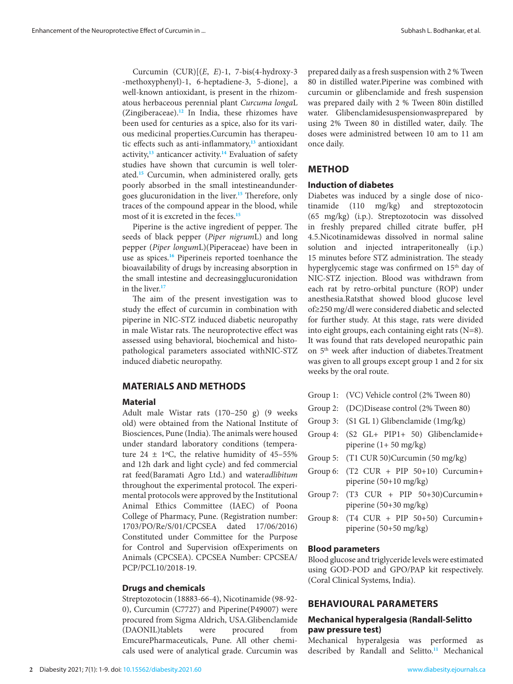Curcumin (CUR)[(*E*, *E*)-1, 7-bis(4-hydroxy-3 -methoxyphenyl)-1, 6-heptadiene-3, 5-dione], a well-known antioxidant, is present in the rhizomatous herbaceous perennial plant *Curcuma longa*L (Zingiberaceae).**[12](#page-8-0)** In India, these rhizomes have been used for centuries as a spice, also for its various medicinal properties.Curcumin has therapeutic effects such as anti-inflammatory,**[13](#page-8-0)** antioxidant activity,**[13](#page-8-0)** anticancer activity.**[14](#page-8-0)** Evaluation of safety studies have shown that curcumin is well tolerated.**[15](#page-8-0)** Curcumin, when administered orally, gets poorly absorbed in the small intestineandundergoes glucuronidation in the liver.**[15](#page-8-0)** Therefore, only traces of the compound appear in the blood, while most of it is excreted in the feces.**[15](#page-8-0)**

Piperine is the active ingredient of pepper. The seeds of black pepper (*Piper nigrum*L) and long pepper (*Piper longum*L)(Piperaceae) have been in use as spices.**[16](#page-8-0)** Piperineis reported toenhance the bioavailability of drugs by increasing absorption in the small intestine and decreasingglucuronidation in the liver.**[17](#page-8-0)**

The aim of the present investigation was to study the effect of curcumin in combination with piperine in NIC-STZ induced diabetic neuropathy in male Wistar rats. The neuroprotective effect was assessed using behavioral, biochemical and histopathological parameters associated withNIC-STZ induced diabetic neuropathy.

#### **MATERIALS AND METHODS**

#### **Material**

Adult male Wistar rats (170–250 g) (9 weeks old) were obtained from the National Institute of Biosciences, Pune (India). The animals were housed under standard laboratory conditions (temperature  $24 \pm 1$ °C, the relative humidity of 45-55% and 12h dark and light cycle) and fed commercial rat feed(Baramati Agro Ltd.) and water*adlibitum* throughout the experimental protocol. The experimental protocols were approved by the Institutional Animal Ethics Committee (IAEC) of Poona College of Pharmacy, Pune. (Registration number: 1703/PO/Re/S/01/CPCSEA dated 17/06/2016) Constituted under Committee for the Purpose for Control and Supervision ofExperiments on Animals (CPCSEA). CPCSEA Number: CPCSEA/ PCP/PCL10/2018-19.

#### **Drugs and chemicals**

Streptozotocin (18883-66-4), Nicotinamide (98-92- 0), Curcumin (C7727) and Piperine(P49007) were procured from Sigma Aldrich, USA.Glibenclamide (DAONIL)tablets were procured from EmcurePharmaceuticals, Pune. All other chemicals used were of analytical grade. Curcumin was prepared daily as a fresh suspension with 2 % Tween 80 in distilled water.Piperine was combined with curcumin or glibenclamide and fresh suspension was prepared daily with 2 % Tween 80in distilled water. Glibenclamidesuspensionwasprepared by using 2% Tween 80 in distilled water, daily. The doses were administred between 10 am to 11 am once daily.

### **METHOD**

### **Induction of diabetes**

Diabetes was induced by a single dose of nicotinamide (110 mg/kg) and streptozotocin (65 mg/kg) (i.p.). Streptozotocin was dissolved in freshly prepared chilled citrate buffer, pH 4.5.Nicotinamidewas dissolved in normal saline solution and injected intraperitoneally (i.p.) 15 minutes before STZ administration. The steady hyperglycemic stage was confirmed on 15<sup>th</sup> day of NIC-STZ injection. Blood was withdrawn from each rat by retro-orbital puncture (ROP) under anesthesia.Ratsthat showed blood glucose level of≥250 mg/dl were considered diabetic and selected for further study. At this stage, rats were divided into eight groups, each containing eight rats (N=8). It was found that rats developed neuropathic pain on 5th week after induction of diabetes.Treatment was given to all groups except group 1 and 2 for six weeks by the oral route.

|  |  | Group 1: (VC) Vehicle control (2% Tween 80) |  |  |
|--|--|---------------------------------------------|--|--|
|--|--|---------------------------------------------|--|--|

- Group 2: (DC)Disease control (2% Tween 80)
- Group 3: (S1 GL 1) Glibenclamide (1mg/kg)
- Group 4: (S2 GL+ PIP1+ 50) Glibenclamide+ piperine (1+ 50 mg/kg)
- Group 5: (T1 CUR 50)Curcumin (50 mg/kg)
- Group 6: (T2 CUR + PIP 50+10) Curcumin+ piperine (50+10 mg/kg)
- Group 7:  $(T3 \text{ CUR} + \text{PIP} \quad 50+30)$ Curcumin+ piperine (50+30 mg/kg)
- Group 8:  $(T4 \text{ CUR} + PIP 50+50)$  Curcumin+ piperine (50+50 mg/kg)

#### **Blood parameters**

Blood glucose and triglyceride levels were estimated using GOD-POD and GPO/PAP kit respectively. (Coral Clinical Systems, India).

#### **BEHAVIOURAL PARAMETERS**

### **Mechanical hyperalgesia (Randall-Selitto paw pressure test)**

Mechanical hyperalgesia was performed as described by Randall and Selitto.**[11](#page-8-0)** Mechanical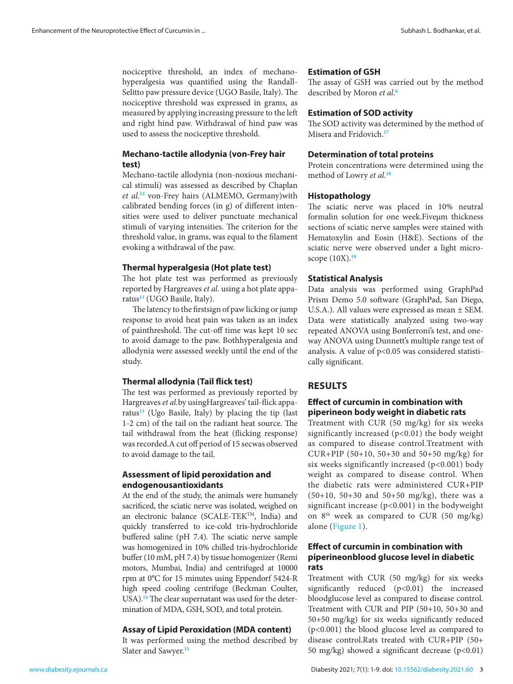nociceptive threshold, an index of mechanohyperalgesia was quantified using the Randall-Selitto paw pressure device (UGO Basile, Italy). The nociceptive threshold was expressed in grams, as measured by applying increasing pressure to the left and right hind paw. Withdrawal of hind paw was used to assess the nociceptive threshold.

### **Mechano-tactile allodynia (von-Frey hair test)**

Mechano-tactile allodynia (non-noxious mechanical stimuli) was assessed as described by Chaplan *et al*. **[12](#page-8-0)** von-Frey hairs (ALMEMO, Germany)with calibrated bending forces (in g) of different intensities were used to deliver punctuate mechanical stimuli of varying intensities. The criterion for the threshold value, in grams, was equal to the filament evoking a withdrawal of the paw.

#### **Thermal hyperalgesia (Hot plate test)**

The hot plate test was performed as previously reported by Hargreaves *et al.* using a hot plate apparatus**[13](#page-8-0)** (UGO Basile, Italy).

The latency to the firstsign of paw licking or jump response to avoid heat pain was taken as an index of painthreshold. The cut-off time was kept 10 sec to avoid damage to the paw. Bothhyperalgesia and allodynia were assessed weekly until the end of the study.

#### **Thermal allodynia (Tail flick test)**

The test was performed as previously reported by Hargreaves *et al.*by usingHargreaves' tail-flick apparatus**[13](#page-8-0)** (Ugo Basile, Italy) by placing the tip (last 1-2 cm) of the tail on the radiant heat source. The tail withdrawal from the heat (flicking response) was recorded.A cut off period of 15 secwas observed to avoid damage to the tail.

### **Assessment of lipid peroxidation and endogenousantioxidants**

At the end of the study, the animals were humanely sacrificed, the sciatic nerve was isolated, weighed on an electronic balance (SCALE-TEKTM, India) and quickly transferred to ice-cold tris-hydrochloride buffered saline (pH 7.4). The sciatic nerve sample was homogenized in 10% chilled tris-hydrochloride buffer (10 mM, pH 7.4) by tissue homogenizer (Remi motors, Mumbai, India) and centrifuged at 10000 rpm at 0°C for 15 minutes using Eppendorf 5424-R high speed cooling centrifuge (Beckman Coulter, USA).**[14](#page-8-0)** The clear supernatant was used for the determination of MDA, GSH, SOD, and total protein.

### **Assay of Lipid Peroxidation (MDA content)**

It was performed using the method described by Slater and Sawyer.**[15](#page-8-0)**

#### **Estimation of GSH**

The assay of GSH was carried out by the method described by Moron *et al*. **[6](#page-8-0)**

#### **Estimation of SOD activity**

The SOD activity was determined by the method of Misera and Fridovich.**[17](#page-8-0)**

#### **Determination of total proteins**

Protein concentrations were determined using the method of Lowry *et al*. **[18](#page-8-0)**

#### **Histopathology**

The sciatic nerve was placed in 10% neutral formalin solution for one week.Fiveµm thickness sections of sciatic nerve samples were stained with Hematoxylin and Eosin (H&E). Sections of the sciatic nerve were observed under a light microscope (10X).**[19](#page-8-0)**

#### **Statistical Analysis**

Data analysis was performed using GraphPad Prism Demo 5.0 software (GraphPad, San Diego, U.S.A.). All values were expressed as mean ± SEM. Data were statistically analyzed using two-way repeated ANOVA using Bonferroni's test, and oneway ANOVA using Dunnett's multiple range test of analysis. A value of  $p<0.05$  was considered statistically significant.

### **RESULTS**

### **Effect of curcumin in combination with piperineon body weight in diabetic rats**

Treatment with CUR (50 mg/kg) for six weeks significantly increased (p<0.01) the body weight as compared to disease control.Treatment with CUR+PIP (50+10, 50+30 and 50+50 mg/kg) for six weeks significantly increased (p<0.001) body weight as compared to disease control. When the diabetic rats were administered CUR+PIP (50+10, 50+30 and 50+50 mg/kg), there was a significant increase  $(p<0.001)$  in the bodyweight on  $8<sup>th</sup>$  week as compared to CUR (50 mg/kg) alone [\(Figure 1\)](#page-3-0).

### **Effect of curcumin in combination with piperineonblood glucose level in diabetic rats**

Treatment with CUR (50 mg/kg) for six weeks significantly reduced (p<0.01) the increased bloodglucose level as compared to disease control. Treatment with CUR and PIP (50+10, 50+30 and 50+50 mg/kg) for six weeks significantly reduced (p<0.001) the blood glucose level as compared to disease control.Rats treated with CUR+PIP (50+ 50 mg/kg) showed a significant decrease  $(p<0.01)$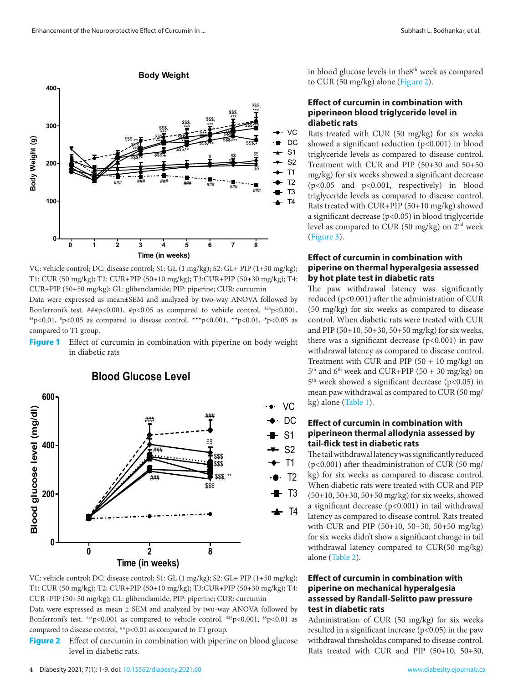**300**

<span id="page-3-0"></span>**400**

 $\ddot{\ddot{x}}$  .  $\dddot{\ddot{x}}$  .  $\dddot{\ddot{x}}$ \*\*\* \*\*\*  $$35\frac{1}{355} - 555$ Body Weight (g) **Body Weight (g)** \$\$\$,  $\frac{1}{355}$   $\frac{1}{355}$   $\frac{1}{355}$   $\frac{1}{355}$   $\frac{1}{355}$  $\mathbb{Z}$   $\rightarrow$ \*\* \* \*\* \*\*\* \*\*\* \* \*\*\* \*\*\* \$\$\$,  $\frac{1}{355}$   $\frac{1}{355}$   $\frac{1}{355}$   $\frac{1}{25}$   $\frac{1}{25}$   $\frac{1}{25}$   $\frac{1}{25}$   $\frac{1}{25}$ \$\$ \$ \*\* **200** \$ \$\$ ### ### ### ### ### ### ### **100** T4 **0 0 1 2 3 4 5 6 7 8 Time (in weeks)**

**Body Weight**

\$\$\$,

VC: vehicle control; DC: disease control; S1: GL (1 mg/kg); S2: GL+ PIP (1+50 mg/kg); T1: CUR (50 mg/kg); T2: CUR+PIP (50+10 mg/kg); T3:CUR+PIP (50+30 mg/kg); T4: CUR+PIP (50+50 mg/kg); GL: glibenclamide; PIP: piperine; CUR: curcumin

 $\sum_{i=1}^{N}$ Data were expressed as mean±SEM and analyzed by two-way ANOVA followed by re Bonferroni's test. ###p<0.001, #p<0.05 as compared to vehicle control.  $^{sss}$ p<0.001,  $p<0.01$ ,  $p<0.05$  as compared to disease control,  $***p<0.001$ ,  $*p<0.01$ ,  $*p<0.05$  as control,  $\epsilon$  compared to T1 group.

compared to 11 group.<br>**Figure 1** Effect of curcumin in combination with piperine on body weight there was a significant decre in diabetic rats **rats.** 



### VC: vehicle control; DC: disease control; S1: GL (1 mg/kg); S2: GL+ PIP (1+50 mg/kg); T1: CUR (50 mg/kg); T2: CUR+PIP (50+10 mg/kg); T3:CUR+PIP (50+30 mg/kg); T4: CUR+PIP (50+50 mg/kg); GL: glibenclamide; PIP: piperine; CUR: curcumin

Bonferroni's test. ##p<0.001 as compared to vehicle control. \$\$p<0.001, \$p<0.01 as Administration of CUR (50 compared to disease control, \*\*p<0.01 as compared to T1 group. The resulted in a significant increa Data were expressed as mean ± SEM and analyzed by two-way ANOVA followed by

**Figure 2** Effect of curcumin in combination with piperine on blood glucose level in diabetic rats. DEVEL III GROUND TRUS.

in blood glucose levels in the8<sup>th</sup> week as compared to CUR (50 mg/kg) alone (Figure 2).

### **Effect of curcumin in combination with piperineon blood triglyceride level in diabetic rats**

VC DC S1 S2 T1 T2 T3

\*\*\*

\$\$\$,

\*\*\*

\$\$\$,

\*\*\*

\$\$\$,

\$\$\$, \$\$\$,

Rats treated with CUR (50 mg/kg) for six weeks showed a significant reduction (p<0.001) in blood triglyceride levels as compared to disease control. Treatment with CUR and PIP (50+30 and 50+50 mg/kg) for six weeks showed a significant decrease (p<0.05 and p<0.001, respectively) in blood triglyceride levels as compared to disease control. Rats treated with CUR+PIP (50+10 mg/kg) showed a significant decrease (p<0.05) in blood triglyceride level as compared to CUR (50 mg/kg) on 2nd week [\(Figure 3\)](#page-6-0).

### **Effect of curcumin in combination with piperine on thermal hyperalgesia assessed by hot plate test in diabetic rats**

The paw withdrawal latency was significantly reduced (p<0.001) after the administration of CUR (50 mg/kg) for six weeks as compared to disease control. When diabetic rats were treated with CUR and PIP (50+10, 50+30, 50+50 mg/kg) for six weeks, there was a significant decrease  $(p<0.001)$  in paw withdrawal latency as compared to disease control. Treatment with CUR and PIP  $(50 + 10 \text{ mg/kg})$  on  $5<sup>th</sup>$  and  $6<sup>th</sup>$  week and CUR+PIP (50 + 30 mg/kg) on  $5<sup>th</sup>$  week showed a significant decrease (p<0.05) in mean paw withdrawal as compared to CUR (50 mg/ kg) alone [\(Table 1\)](#page-4-0).

### **Effect of curcumin in combination with piperineon thermal allodynia assessed by tail-flick test in diabetic rats**

The tail withdrawal latency was significantly reduced (p<0.001) after theadministration of CUR (50 mg/ kg) for six weeks as compared to disease control. When diabetic rats were treated with CUR and PIP (50+10, 50+30, 50+50 mg/kg) for six weeks, showed a significant decrease (p<0.001) in tail withdrawal latency as compared to disease control. Rats treated with CUR and PIP (50+10, 50+30, 50+50 mg/kg) for six weeks didn't show a significant change in tail withdrawal latency compared to CUR(50 mg/kg) alone [\(Table 2\)](#page-4-0).

### **Effect of curcumin in combination with piperine on mechanical hyperalgesia assessed by Randall-Selitto paw pressure test in diabetic rats**

Administration of CUR (50 mg/kg) for six weeks resulted in a significant increase  $(p<0.05)$  in the paw withdrawal thresholdas compared to disease control. Rats treated with CUR and PIP (50+10, 50+30,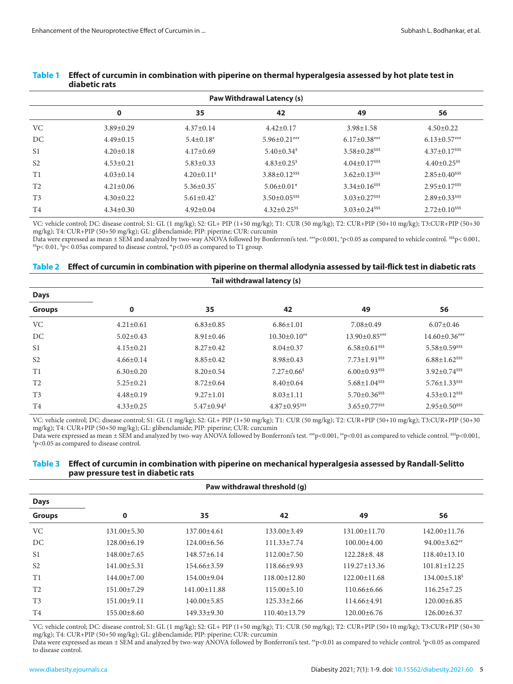| <b>Paw Withdrawal Latency (s)</b> |                 |                               |                                   |                                     |                                     |  |
|-----------------------------------|-----------------|-------------------------------|-----------------------------------|-------------------------------------|-------------------------------------|--|
|                                   | $\mathbf 0$     | 35                            | 42                                | 49                                  | 56                                  |  |
| <b>VC</b>                         | $3.89 \pm 0.29$ | $4.37 \pm 0.14$               | $4.42 \pm 0.17$                   | $3.98 \pm 1.58$                     | $4.50 \pm 0.22$                     |  |
| DC                                | $4.49 \pm 0.15$ | $5.4\pm0.18$ <sup>*</sup>     | $5.96 \pm 0.21$ ###               | $6.17 \pm 0.38$ ###                 | $6.13 \pm 0.57***$                  |  |
| S <sub>1</sub>                    | $4.20 \pm 0.18$ | $4.17 \pm 0.69$               | $5.40 \pm 0.34$ <sup>\$</sup>     | $3.58 \pm 0.28$ <sup>\$\$\$\$</sup> | $4.37 \pm 0.17$ <sup>sss</sup>      |  |
| S <sub>2</sub>                    | $4.53 \pm 0.21$ | $5.83 \pm 0.33$               | $4.83 \pm 0.25$ <sup>\$</sup>     | $4.04 \pm 0.17$ <sup>\$\$\$</sup>   | $4.40 \pm 0.25$ <sup>\$\$</sup>     |  |
| T1                                | $4.03 \pm 0.14$ | $4.20 \pm 0.11$ <sup>\$</sup> | $3.88 \pm 0.12$ <sup>\$\$\$</sup> | $3.62 \pm 0.13$ <sup>\$\$\$\$</sup> | $2.85 \pm 0.40$ <sup>sss</sup>      |  |
| T <sub>2</sub>                    | $4.21 \pm 0.06$ | $5.36 \pm 0.35$ <sup>*</sup>  | $5.06 \pm 0.01*$                  | $3.34 \pm 0.16$ <sup>sss</sup>      | $2.95 \pm 0.17$ <sup>\$\$\$</sup>   |  |
| T <sub>3</sub>                    | $4.30 \pm 0.22$ | $5.61 \pm 0.42$               | $3.50 \pm 0.05$ <sup>\$\$\$</sup> | $3.03 \pm 0.27$ <sup>\$\$\$</sup>   | $2.89 \pm 0.33$ <sup>\$\$\$\$</sup> |  |
| T4                                | $4.34 \pm 0.30$ | $4.92 \pm 0.04$               | $4.32 \pm 0.25$ <sup>\$\$</sup>   | $3.03 \pm 0.24$ <sup>sss</sup>      | $2.72 \pm 0.10$ <sup>sss</sup>      |  |

#### <span id="page-4-0"></span>**Table 1 Effect of curcumin in combination with piperine on thermal hyperalgesia assessed by hot plate test in diabetic rats**

VC: vehicle control; DC: disease control; S1: GL (1 mg/kg); S2: GL+ PIP (1+50 mg/kg); T1: CUR (50 mg/kg); T2: CUR+PIP (50+10 mg/kg); T3:CUR+PIP (50+30 mg/kg); T4: CUR+PIP (50+50 mg/kg); GL: glibenclamide; PIP: piperine; CUR: curcumin

Data were expressed as mean ± SEM and analyzed by two-way ANOVA followed by Bonferroni's test. \*\*\*p<0.001, \*p<0.05 as compared to vehicle control. \*\*sp< 0.001, \*p<0.001, \*p<0.05 as compared to disease control, \*p<0.05 as c  $^{ss}p$ < 0.01,  $^{s}p$ < 0.05as compared to disease control,  $^{*}p$ <0.05 as compared to T1 group.

#### **Table 2 Effect of curcumin in combination with piperine on thermal allodynia assessed by tail-flick test in diabetic rats**

| Tail withdrawal latency (s) |                 |                               |                                   |                                   |                                     |  |
|-----------------------------|-----------------|-------------------------------|-----------------------------------|-----------------------------------|-------------------------------------|--|
| <b>Days</b>                 |                 |                               |                                   |                                   |                                     |  |
| <b>Groups</b>               | $\bf{0}$        | 35                            | 42                                | 49                                | 56                                  |  |
| VC.                         | $4.21 \pm 0.61$ | $6.83 \pm 0.85$               | $6.86 \pm 1.01$                   | $7.08 \pm 0.49$                   | $6.07 \pm 0.46$                     |  |
| DC                          | $5.02 \pm 0.43$ | $8.91 \pm 0.46$               | $10.30 \pm 0.10^{**}$             | $13.90\pm0.85***$                 | $14.60\pm0.36***$                   |  |
| S <sub>1</sub>              | $4.15 \pm 0.21$ | $8.27 \pm 0.42$               | $8.04 \pm 0.37$                   | $6.58 \pm 0.61$ <sup>\$\$\$</sup> | $5.58 \pm 0.59$ <sup>\$\$\$\$</sup> |  |
| S <sub>2</sub>              | $4.66 \pm 0.14$ | $8.85 \pm 0.42$               | $8.98 \pm 0.43$                   | $7.73 \pm 1.91$ <sup>sss</sup>    | $6.88 \pm 1.62$ <sup>sss</sup>      |  |
| T1                          | $6.30 \pm 0.20$ | $8.20 \pm 0.54$               | $7.27 \pm 0.66$ <sup>\$</sup>     | $6.00 \pm 0.93$ <sup>sss</sup>    | $3.92 \pm 0.74$ <sup>sss</sup>      |  |
| T <sub>2</sub>              | $5.25 \pm 0.21$ | $8.72 \pm 0.64$               | $8.40 \pm 0.64$                   | $5.68 \pm 1.04$ <sup>\$\$\$</sup> | $5.76 \pm 1.33$ <sup>sss</sup>      |  |
| T <sub>3</sub>              | $4.48 \pm 0.19$ | $9.27 \pm 1.01$               | $8.03 \pm 1.11$                   | $5.70 \pm 0.36$ <sup>sss</sup>    | $4.53 \pm 0.12$ <sup>sss</sup>      |  |
| T <sub>4</sub>              | $4.33 \pm 0.25$ | $5.47 \pm 0.94$ <sup>\$</sup> | $4.87 \pm 0.95$ <sup>\$\$\$</sup> | $3.65 \pm 0.77$ <sup>\$\$\$</sup> | $2.95 \pm 0.50$ <sup>sss</sup>      |  |

VC: vehicle control; DC: disease control; S1: GL (1 mg/kg); S2: GL+ PIP (1+50 mg/kg); T1: CUR (50 mg/kg); T2: CUR+PIP (50+10 mg/kg); T3:CUR+PIP (50+30 mg/kg); T4: CUR+PIP (50+50 mg/kg); GL: glibenclamide; PIP: piperine; CUR: curcumin

Data were expressed as mean ± SEM and analyzed by two-way ANOVA followed by Bonferroni's test.  $***$ p<0.001,  $*$ p<0.01 as compared to vehicle control.  $***$ p<0.001, p<0.05 as compared to disease control.

### **Table 3 Effect of curcumin in combination with piperine on mechanical hyperalgesia assessed by Randall-Selitto paw pressure test in diabetic rats**

| Paw withdrawal threshold (q) |                   |                    |                    |                    |                                 |  |
|------------------------------|-------------------|--------------------|--------------------|--------------------|---------------------------------|--|
| <b>Days</b>                  |                   |                    |                    |                    |                                 |  |
| <b>Groups</b>                | $\mathbf 0$       | 35                 | 42                 | 49                 | 56                              |  |
| <b>VC</b>                    | $131.00 \pm 5.30$ | $137.00 \pm 4.61$  | $133.00 \pm 3.49$  | $131.00 \pm 11.70$ | $142.00 \pm 11.76$              |  |
| DC                           | $128.00\pm 6.19$  | $124.00\pm 6.56$   | $111.33 \pm 7.74$  | $100.00 \pm 4.00$  | $94.00 \pm 3.62$ <sup>##</sup>  |  |
| S <sub>1</sub>               | $148.00 \pm 7.65$ | $148.57 \pm 6.14$  | $112.00 \pm 7.50$  | $122.28 \pm 8.48$  | $118.40 \pm 13.10$              |  |
| S <sub>2</sub>               | $141.00 \pm 5.31$ | 154.66±3.59        | $118.66\pm9.93$    | $119.27 \pm 13.36$ | $101.81 \pm 12.25$              |  |
| T1                           | $144.00 \pm 7.00$ | $154.00 \pm 9.04$  | $118.00 \pm 12.80$ | $122.00 \pm 11.68$ | $134.00 \pm 5.18$ <sup>\$</sup> |  |
| T <sub>2</sub>               | $151.00 \pm 7.29$ | $141.00 \pm 11.88$ | $115.00 \pm 5.10$  | $110.66\pm 6.66$   | $116.25 \pm 7.25$               |  |
| T <sub>3</sub>               | $151.00 \pm 9.11$ | $140.00 \pm 5.85$  | $125.33 \pm 2.66$  | $114.66{\pm}4.91$  | $120.00 \pm 6.85$               |  |
| T <sub>4</sub>               | $155.00\pm8.60$   | $149.33 \pm 9.30$  | $110.40 \pm 13.79$ | $120.00 \pm 6.76$  | $126.00\pm 6.37$                |  |

VC: vehicle control; DC: disease control; S1: GL (1 mg/kg); S2: GL+ PIP (1+50 mg/kg); T1: CUR (50 mg/kg); T2: CUR+PIP (50+10 mg/kg); T3:CUR+PIP (50+30 mg/kg); T4: CUR+PIP (50+50 mg/kg); GL: glibenclamide; PIP: piperine; CUR: curcumin

Data were expressed as mean ± SEM and analyzed by two-way ANOVA followed by Bonferroni's test. \*\*p<0.01 as compared to vehicle control. \$p<0.05 as compared to disease control.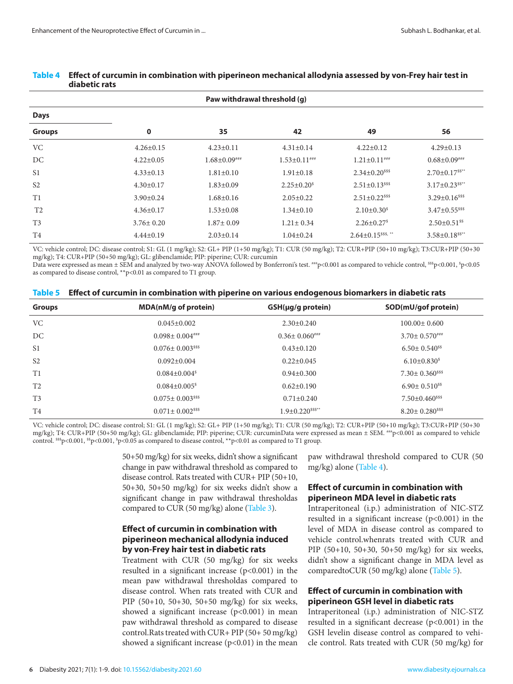| Paw withdrawal threshold (g) |                 |                    |                     |                                        |                                   |  |
|------------------------------|-----------------|--------------------|---------------------|----------------------------------------|-----------------------------------|--|
| <b>Days</b>                  |                 |                    |                     |                                        |                                   |  |
| <b>Groups</b>                | $\bf{0}$        | 35                 | 42                  | 49                                     | 56                                |  |
| <b>VC</b>                    | $4.26 \pm 0.15$ | $4.23 \pm 0.11$    | $4.31 \pm 0.14$     | $4.22 \pm 0.12$                        | $4.29 \pm 0.13$                   |  |
| DC                           | $4.22 \pm 0.05$ | $1.68 \pm 0.09***$ | $1.53 \pm 0.11$ ### | $1.21 \pm 0.11$ ###                    | $0.68 \pm 0.09$ ###               |  |
| S <sub>1</sub>               | $4.33 \pm 0.13$ | $1.81 \pm 0.10$    | $1.91 \pm 0.18$     | $2.34 \pm 0.20$ <sup>sss</sup>         | $2.70 \pm 0.17$ <sup>\$\$**</sup> |  |
| S <sub>2</sub>               | $4.30 \pm 0.17$ | $1.83 \pm 0.09$    | $2.25 \pm 0.20^s$   | $2.51 \pm 0.13$ <sup>\$\$\$\$</sup>    | $3.17 \pm 0.23$ <sup>ss**</sup>   |  |
| T1                           | $3.90 \pm 0.24$ | $1.68 \pm 0.16$    | $2.05 \pm 0.22$     | $2.51 \pm 0.22$ <sup>\$\$\$</sup>      | $3.29 \pm 0.16$ <sup>\$\$\$</sup> |  |
| T <sub>2</sub>               | $4.36 \pm 0.17$ | $1.53 \pm 0.08$    | $1.34 \pm 0.10$     | $2.10\pm0.30^s$                        | $3.47 \pm 0.55$ <sup>\$\$\$</sup> |  |
| T <sub>3</sub>               | $3.76 \pm 0.20$ | $1.87 \pm 0.09$    | $1.21 \pm 0.34$     | $2.26 \pm 0.27$ <sup>\$</sup>          | $2.50 \pm 0.51$ <sup>\$\$</sup>   |  |
| T <sub>4</sub>               | $4.44\pm0.19$   | $2.03 \pm 0.14$    | $1.04 \pm 0.24$     | $2.64 \pm 0.15$ <sup>\$\$\$\$,**</sup> | $3.58 \pm 0.18$ <sup>\$\$**</sup> |  |

#### <span id="page-5-0"></span>**Table 4 Effect of curcumin in combination with piperineon mechanical allodynia assessed by von-Frey hair test in diabetic rats**

VC: vehicle control; DC: disease control; S1: GL (1 mg/kg); S2: GL+ PIP (1+50 mg/kg); T1: CUR (50 mg/kg); T2: CUR+PIP (50+10 mg/kg); T3:CUR+PIP (50+30 mg/kg); T4: CUR+PIP (50+50 mg/kg); GL: glibenclamide; PIP: piperine; CUR: curcumin

Data were expressed as mean ± SEM and analyzed by two-way ANOVA followed by Bonferroni's test. \*\*\*p<0.001 as compared to vehicle control, <sup>sss</sup>p<0.001, <sup>s</sup>p<0.05 as compared to disease control, \*\*p<0.01 as compared to T1 group.

| Table 5 Effect of curcumin in combination with piperine on various endogenous biomarkers in diabetic rats |  |  |  |  |
|-----------------------------------------------------------------------------------------------------------|--|--|--|--|
|                                                                                                           |  |  |  |  |

| <b>Groups</b>  | MDA(nM/g of protein)             | $GSH(\mu g/g$ protein)           | SOD(mU/gof protein)                |
|----------------|----------------------------------|----------------------------------|------------------------------------|
| VC.            | $0.045 \pm 0.002$                | $2.30 \pm 0.240$                 | $100.00 \pm 0.600$                 |
| DC             | $0.098 \pm 0.004$ ###            | $0.36 \pm 0.060^{***}$           | $3.70 \pm 0.570^{***}$             |
| S <sub>1</sub> | $0.076 \pm 0.003$ <sup>sss</sup> | $0.43 \pm 0.120$                 | $6.50 \pm 0.540$ <sup>ss</sup>     |
| S <sub>2</sub> | $0.092 \pm 0.004$                | $0.22 \pm 0.045$                 | $6.10\pm0.830^s$                   |
| T1             | $0.084 \pm 0.004$ <sup>\$</sup>  | $0.94 \pm 0.300$                 | $7.30 \pm 0.360$ <sup>sss</sup>    |
| T <sub>2</sub> | $0.084 \pm 0.005$ <sup>\$</sup>  | $0.62 \pm 0.190$                 | $6.90 \pm 0.510$ <sup>\$\$</sup>   |
| T <sub>3</sub> | $0.075 \pm 0.003$ <sup>sss</sup> | $0.71 \pm 0.240$                 | $7.50 \pm 0.460$ <sup>\$\$\$</sup> |
| T <sub>4</sub> | $0.071 \pm 0.002$ <sup>sss</sup> | $1.9 \pm 0.220$ <sup>sss**</sup> | $8.20 \pm 0.280$ <sup>sss</sup>    |

VC: vehicle control; DC: disease control; S1: GL (1 mg/kg); S2: GL+ PIP (1+50 mg/kg); T1: CUR (50 mg/kg); T2: CUR+PIP (50+10 mg/kg); T3:CUR+PIP (50+30 mg/kg); T4: CUR+PIP (50+50 mg/kg); GL: glibenclamide; PIP: piperine; CUR: curcuminData were expressed as mean ± SEM. <sup>##p</sup> <0.001 as compared to vehicle control.  $\frac{655}{5}$  < 0.001,  $\frac{5}{5}$  < 0.001,  $\frac{5}{5}$  < 0.05 as compared to disease control, \*\*p<0.01 as compared to T1 group.

> 50+50 mg/kg) for six weeks, didn't show a significant change in paw withdrawal threshold as compared to disease control. Rats treated with CUR+ PIP (50+10, 50+30, 50+50 mg/kg) for six weeks didn't show a significant change in paw withdrawal thresholdas compared to CUR (50 mg/kg) alone [\(Table 3\)](#page-4-0).

### **Effect of curcumin in combination with piperineon mechanical allodynia induced by von-Frey hair test in diabetic rats**

Treatment with CUR (50 mg/kg) for six weeks resulted in a significant increase (p<0.001) in the mean paw withdrawal thresholdas compared to disease control. When rats treated with CUR and PIP (50+10, 50+30, 50+50 mg/kg) for six weeks, showed a significant increase  $(p<0.001)$  in mean paw withdrawal threshold as compared to disease control.Rats treated with CUR+ PIP (50+ 50 mg/kg) showed a significant increase  $(p<0.01)$  in the mean

paw withdrawal threshold compared to CUR (50 mg/kg) alone (Table 4).

### **Effect of curcumin in combination with piperineon MDA level in diabetic rats**

Intraperitoneal (i.p.) administration of NIC-STZ resulted in a significant increase  $(p<0.001)$  in the level of MDA in disease control as compared to vehicle control.whenrats treated with CUR and PIP (50+10, 50+30, 50+50 mg/kg) for six weeks, didn't show a significant change in MDA level as comparedtoCUR (50 mg/kg) alone (Table 5).

### **Effect of curcumin in combination with piperineon GSH level in diabetic rats**

Intraperitoneal (i.p.) administration of NIC-STZ resulted in a significant decrease  $(p<0.001)$  in the GSH levelin disease control as compared to vehicle control. Rats treated with CUR (50 mg/kg) for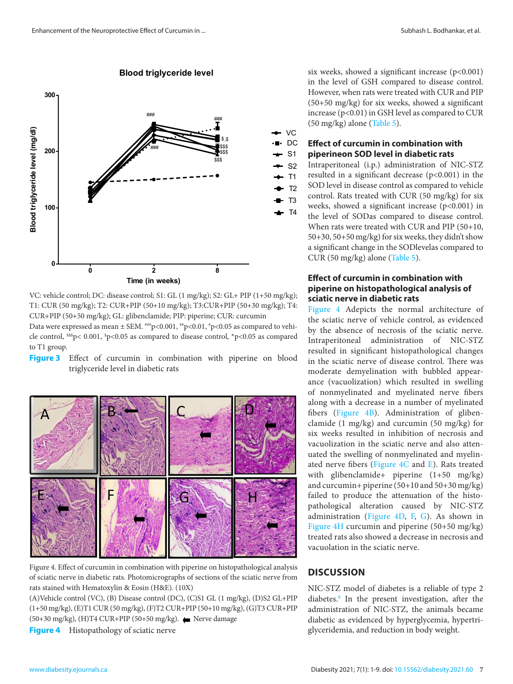<span id="page-6-0"></span>

CUR+PIP (50+50 mg/kg); GL: glibenclamide; PIP: piperine; CUR: curcumin the sciatic nerve of vehicl VC: vehicle control; DC: disease control; S1: GL (1 mg/kg); S2: GL+ PIP (1+50 mg/kg); T1: CUR (50 mg/kg); T2: CUR+PIP (50+10 mg/kg); T3:CUR+PIP (50+30 mg/kg); T4:

Data were expressed as inearly  $\pm$  52.01,  $\pm$  0.001,  $\pm$  0.001,  $\pm$  0.001,  $\pm$  0.001,  $\pm$  0.001,  $\pm$  0.001,  $\pm$ cle control,  $\frac{\text{ss}}{2}$  (50001,  $\frac{\text{s}}{2}$  = 0.005 as compared to disease control,  $\frac{\text{s}}{2}$  = 0.05 as compared to T1 group. Data were expressed as mean  $\pm$  SEM.  $^{***}$ p<0.001,  $^{*}$ p<0.01,  $^{*}$ p<0.05 as compared to vehito T1 group.

Figure 3 Effect of curcumin in combination with piperine on blood triglyceride level in diabetic rats



Figure 4. Effect of curcumin in combination with piperine on histopathological analysis of sciatic nerve in diabetic rats. Photomicrographs of sections of the sciatic nerve from rats stained with Hematoxylin & Eosin (H&E). (10X)

(A)Vehicle control (VC), (B) Disease control (DC), (C)S1 GL (1 mg/kg), (D)S2 GL+PIP (1+50 mg/kg), (E)T1 CUR (50 mg/kg), (F)T2 CUR+PIP (50+10 mg/kg), (G)T3 CUR+PIP (50+30 mg/kg), (H)T4 CUR+PIP (50+50 mg/kg). ● Nerve damage

**Figure 4** Histopathology of sciatic nerve

six weeks, showed a significant increase  $(p<0.001)$ in the level of GSH compared to disease control. However, when rats were treated with CUR and PIP (50+50 mg/kg) for six weeks, showed a significant increase (p<0.01) in GSH level as compared to CUR (50 mg/kg) alone [\(Table 5\)](#page-5-0).

#### **Effect of curcumin in combination with piperineon SOD level in diabetic rats** DC

Intraperitoneal (i.p.) administration of NIC-STZ resulted in a significant decrease (p<0.001) in the SOD level in disease control as compared to vehicle control. Rats treated with CUR (50 mg/kg) for six weeks, showed a significant increase (p<0.001) in the level of SODas compared to disease control. When rats were treated with CUR and PIP (50+10, 50+30, 50+50 mg/kg) for six weeks, they didn't show a significant change in the SODlevelas compared to CUR (50 mg/kg) alone [\(Table 5\)](#page-5-0).

### **Effect of curcumin in combination with piperine on histopathological analysis of sciatic nerve in diabetic rats**

Figure 4 Adepicts the normal architecture of the sciatic nerve of vehicle control, as evidenced by the absence of necrosis of the sciatic nerve. Intraperitoneal administration of NIC-STZ resulted in significant histopathological changes blood in the sciatic nerve of disease control. There was elevel in diabetic rats and the compared to discusse of the moderate demyelination with bubbled appearance (vacuolization) which resulted in swelling of nonmyelinated and myelinated nerve fibers along with a decrease in a number of myelinated fibers (Figure 4B). Administration of glibenclamide (1 mg/kg) and curcumin (50 mg/kg) for six weeks resulted in inhibition of necrosis and vacuolization in the sciatic nerve and also attenuated the swelling of nonmyelinated and myelinated nerve fibers (Figure 4C and E). Rats treated with glibenclamide+ piperine (1+50 mg/kg) and curcumin+ piperine (50+10 and 50+30 mg/kg) failed to produce the attenuation of the histopathological alteration caused by NIC-STZ administration (Figure 4D, F, G). As shown in Figure 4H curcumin and piperine (50+50 mg/kg) treated rats also showed a decrease in necrosis and vacuolation in the sciatic nerve.

## **DISCUSSION**

NIC-STZ model of diabetes is a reliable of type 2 diabetes.**[5](#page-8-0)** In the present investigation, after the administration of NIC-STZ, the animals became diabetic as evidenced by hyperglycemia, hypertriglyceridemia, and reduction in body weight.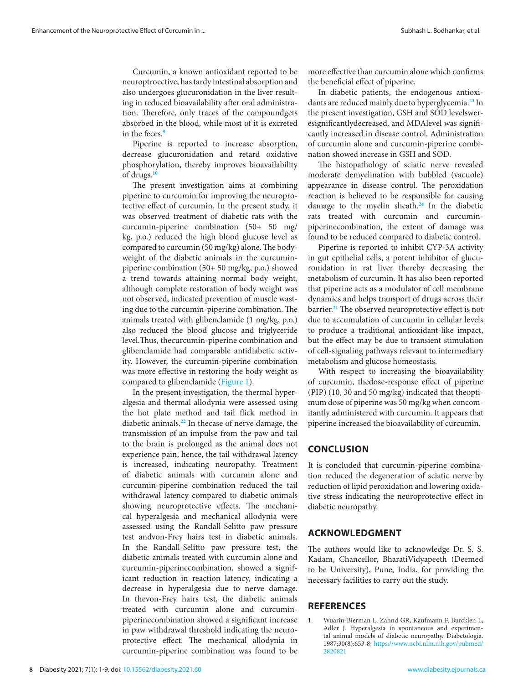<span id="page-7-0"></span>Curcumin, a known antioxidant reported to be neuroptroective, has tardy intestinal absorption and also undergoes glucuronidation in the liver resulting in reduced bioavailability after oral administration. Therefore, only traces of the compoundgets absorbed in the blood, while most of it is excreted in the feces<sup>[9](#page-8-0)</sup>

Piperine is reported to increase absorption, decrease glucuronidation and retard oxidative phosphorylation, thereby improves bioavailability of drugs.**[10](#page-8-0)**

The present investigation aims at combining piperine to curcumin for improving the neuroprotective effect of curcumin. In the present study, it was observed treatment of diabetic rats with the curcumin-piperine combination (50+ 50 mg/ kg, p.o.) reduced the high blood glucose level as compared to curcumin (50 mg/kg) alone. The bodyweight of the diabetic animals in the curcuminpiperine combination (50+ 50 mg/kg, p.o.) showed a trend towards attaining normal body weight, although complete restoration of body weight was not observed, indicated prevention of muscle wasting due to the curcumin-piperine combination. The animals treated with glibenclamide (1 mg/kg, p.o.) also reduced the blood glucose and triglyceride level.Thus, thecurcumin-piperine combination and glibenclamide had comparable antidiabetic activity. However, the curcumin-piperine combination was more effective in restoring the body weight as compared to glibenclamide [\(Figure 1\)](#page-3-0).

In the present investigation, the thermal hyperalgesia and thermal allodynia were assessed using the hot plate method and tail flick method in diabetic animals.**[22](#page-8-0)** In thecase of nerve damage, the transmission of an impulse from the paw and tail to the brain is prolonged as the animal does not experience pain; hence, the tail withdrawal latency is increased, indicating neuropathy. Treatment of diabetic animals with curcumin alone and curcumin-piperine combination reduced the tail withdrawal latency compared to diabetic animals showing neuroprotective effects. The mechanical hyperalgesia and mechanical allodynia were assessed using the Randall-Selitto paw pressure test andvon-Frey hairs test in diabetic animals. In the Randall-Selitto paw pressure test, the diabetic animals treated with curcumin alone and curcumin-piperinecombination, showed a significant reduction in reaction latency, indicating a decrease in hyperalgesia due to nerve damage. In thevon-Frey hairs test, the diabetic animals treated with curcumin alone and curcuminpiperinecombination showed a significant increase in paw withdrawal threshold indicating the neuroprotective effect. The mechanical allodynia in curcumin-piperine combination was found to be

more effective than curcumin alone which confirms the beneficial effect of piperine.

In diabetic patients, the endogenous antioxidants are reduced mainly due to hyperglycemia.**[23](#page-8-0)** In the present investigation, GSH and SOD levelsweresignificantlydecreased, and MDAlevel was significantly increased in disease control. Administration of curcumin alone and curcumin-piperine combination showed increase in GSH and SOD.

The histopathology of sciatic nerve revealed moderate demyelination with bubbled (vacuole) appearance in disease control. The peroxidation reaction is believed to be responsible for causing damage to the myelin sheath.**[24](#page-8-0)** In the diabetic rats treated with curcumin and curcuminpiperinecombination, the extent of damage was found to be reduced compared to diabetic control.

Piperine is reported to inhibit CYP-3A activity in gut epithelial cells, a potent inhibitor of glucuronidation in rat liver thereby decreasing the metabolism of curcumin. It has also been reported that piperine acts as a modulator of cell membrane dynamics and helps transport of drugs across their barrier.**[21](#page-8-0)** The observed neuroprotective effect is not due to accumulation of curcumin in cellular levels to produce a traditional antioxidant-like impact, but the effect may be due to transient stimulation of cell-signaling pathways relevant to intermediary metabolism and glucose homeostasis.

With respect to increasing the bioavailability of curcumin, thedose-response effect of piperine (PIP) (10, 30 and 50 mg/kg) indicated that theoptimum dose of piperine was 50 mg/kg when concomitantly administered with curcumin. It appears that piperine increased the bioavailability of curcumin.

### **CONCLUSION**

It is concluded that curcumin-piperine combination reduced the degeneration of sciatic nerve by reduction of lipid peroxidation and lowering oxidative stress indicating the neuroprotective effect in diabetic neuropathy.

#### **ACKNOWLEDGMENT**

The authors would like to acknowledge Dr. S. S. Kadam, Chancellor, BharatiVidyapeeth (Deemed to be University), Pune, India, for providing the necessary facilities to carry out the study.

#### **REFERENCES**

1. Wuarin-Bierman L, Zahnd GR, Kaufmann F, Burcklen L, Adler J. Hyperalgesia in spontaneous and experimental animal models of diabetic neuropathy. Diabetologia. 1987;30(8):653-8; [https://www.ncbi.nlm.nih.gov/pubmed/](https://www.ncbi.nlm.nih.gov/pubmed/2820821) [2820821](https://www.ncbi.nlm.nih.gov/pubmed/2820821)